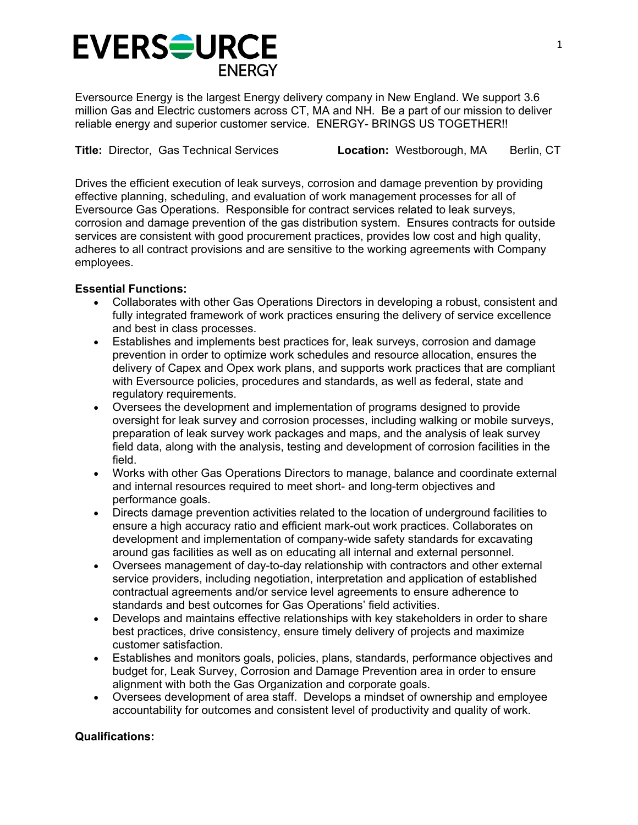# **EVERSOURCE ENERGY**

Eversource Energy is the largest Energy delivery company in New England. We support 3.6 million Gas and Electric customers across CT, MA and NH. Be a part of our mission to deliver reliable energy and superior customer service. ENERGY- BRINGS US TOGETHER!!

**Title:** Director, Gas Technical Services **Location:** Westborough, MA Berlin, CT

Drives the efficient execution of leak surveys, corrosion and damage prevention by providing effective planning, scheduling, and evaluation of work management processes for all of Eversource Gas Operations. Responsible for contract services related to leak surveys, corrosion and damage prevention of the gas distribution system. Ensures contracts for outside services are consistent with good procurement practices, provides low cost and high quality, adheres to all contract provisions and are sensitive to the working agreements with Company employees.

## **Essential Functions:**

- Collaborates with other Gas Operations Directors in developing a robust, consistent and fully integrated framework of work practices ensuring the delivery of service excellence and best in class processes.
- Establishes and implements best practices for, leak surveys, corrosion and damage prevention in order to optimize work schedules and resource allocation, ensures the delivery of Capex and Opex work plans, and supports work practices that are compliant with Eversource policies, procedures and standards, as well as federal, state and regulatory requirements.
- Oversees the development and implementation of programs designed to provide oversight for leak survey and corrosion processes, including walking or mobile surveys, preparation of leak survey work packages and maps, and the analysis of leak survey field data, along with the analysis, testing and development of corrosion facilities in the field.
- Works with other Gas Operations Directors to manage, balance and coordinate external and internal resources required to meet short- and long-term objectives and performance goals.
- Directs damage prevention activities related to the location of underground facilities to ensure a high accuracy ratio and efficient mark-out work practices. Collaborates on development and implementation of company-wide safety standards for excavating around gas facilities as well as on educating all internal and external personnel.
- Oversees management of day-to-day relationship with contractors and other external service providers, including negotiation, interpretation and application of established contractual agreements and/or service level agreements to ensure adherence to standards and best outcomes for Gas Operations' field activities.
- Develops and maintains effective relationships with key stakeholders in order to share best practices, drive consistency, ensure timely delivery of projects and maximize customer satisfaction.
- Establishes and monitors goals, policies, plans, standards, performance objectives and budget for, Leak Survey, Corrosion and Damage Prevention area in order to ensure alignment with both the Gas Organization and corporate goals.
- Oversees development of area staff. Develops a mindset of ownership and employee accountability for outcomes and consistent level of productivity and quality of work.

#### **Qualifications:**